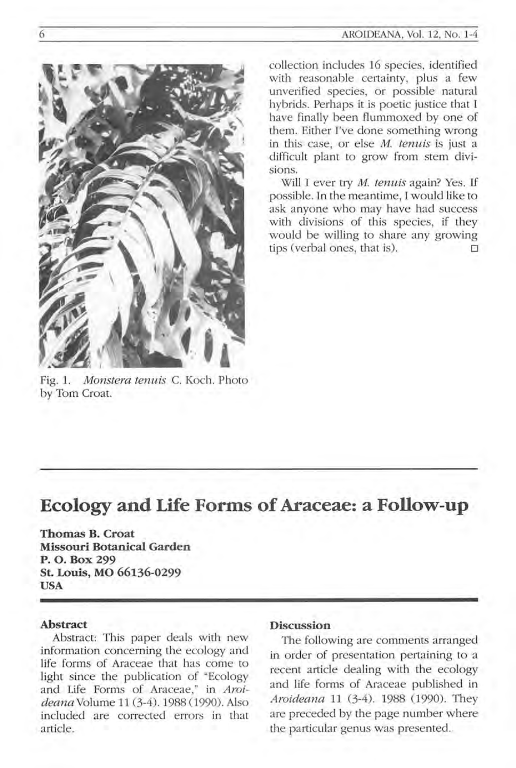

Fig. 1. *Monstera tenuis* C. Koch. Photo by Tom Croat.

collection includes 16 species, identified with reasonable certainty, plus a few unverified species, or possible natural hybrids. Perhaps it is poetic justice that I have finally been flummoxed by one of them. Either I've done something wrong in this case, or else *M. tenuis* is just a difficult plant to grow from stem divisions.

Will I ever try *M. tenuis* again? Yes. If possible. In the meantime, I would like to ask anyone who may have had success with divisions of this species, if they would be willing to share any growing tips (verbal ones, that is).

# **Ecology and Life Forms of Araceae: a Follow-up**

**Thomas B. Croat Missouri Botanical Garden P. O. Box 299 St. Louis, MO 66136-0299 USA** 

#### **Abstract**

Abstract: This paper deals with new information concerning the ecology and life forms of Araceae that has come to light since the publication of "Ecology and Life Forms of Araceae," in *Aroi*deana Volume 11 (3-4). 1988 (1990). Also included are corrected errors in that article.

### **Discussion**

The following are comments arranged in order of presentation pertaining to a recent article dealing with the ecology and life forms of Araceae published in *Aroideana* 11 (3-4). 1988 (1990). They are preceded by the page number where the particular genus was presented.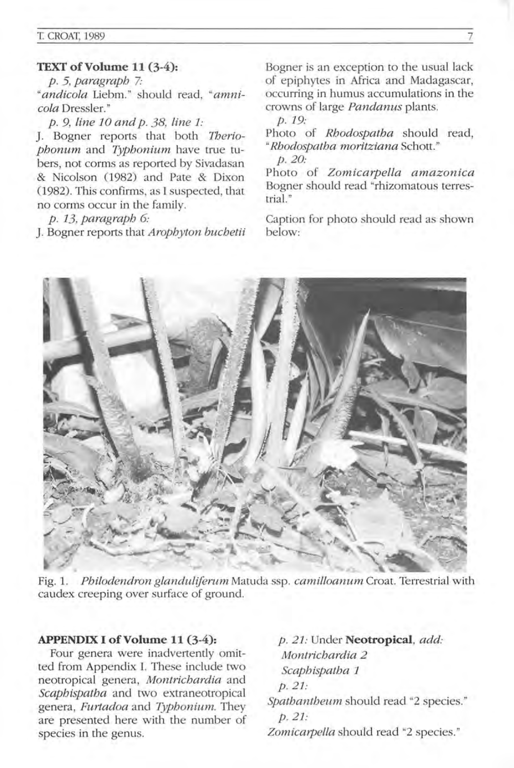## **TEXT** of Volume **11 (3-4):**

*p.* 5, *paragraph 7:*  " andicola Liebm." should read, "amni*cola* Dressler. "

*p .9, line* 10 *and p .* 38, *line* 1:

J. Bogner reports that both *Tberiophonum* and *Typhonium* have true tubers, not corms as reported by Sivadasan & Nicolson (1982) and Pate & Dixon (1982). This confirms, as I suspected, that no corms occur in the family.

*p .* 13, *paragraph 6:* 

J. Bogner reports that *Arophyton buchetii* 

Bogner is an exception to the usual lack of epiphytes in Africa and Madagascar, occurring in humus accumulations in the crowns of large *Pandanus* plants.

*p.19:* 

Photo of *Rhodospatha* should read, *"Rhodospalha moritziana* Schott." p.20:

Photo of *Zomicarpella amazonica*  Bogner should read "rhizomatous terrestrial. "

Caption for photo should read as shown below:



Fig. 1. *Philodendron glanduliferum* Matuda ssp. *camilloanum* Croat. Terrestrial with caudex creeping over surface of ground.

#### **APPENDIX I** of Volume **11 (3-4):**

Four genera were inadvertently omitted from Appendix 1. These include two neotropical genera, *Montrichardia* and *Scaphispatha* and two extraneotropical genera , *Furtadoa* and *Typhonium.* They are presented here with the number of species in the genus.

*p.* 21: Under **Neotropical,** *add: Montrichardia 2 Scaphispatha 1*  p.21: *Spathantheum* should read "2 species. " p.21:

*Zomicarpella* should read "2 species. "

7